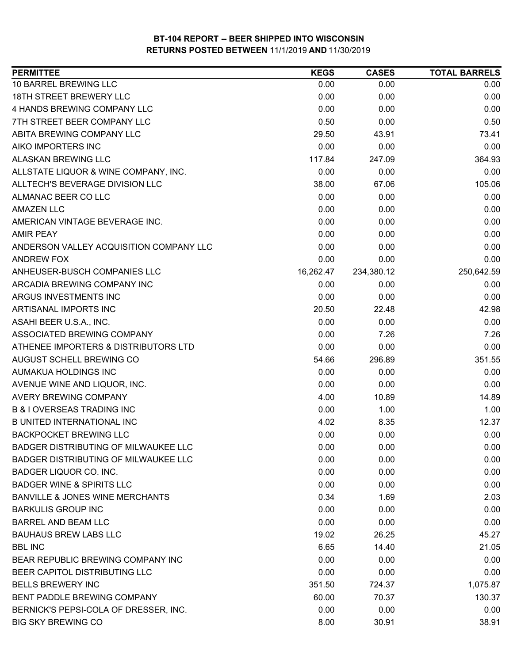| <b>PERMITTEE</b>                            | <b>KEGS</b> | <b>CASES</b> | <b>TOTAL BARRELS</b> |
|---------------------------------------------|-------------|--------------|----------------------|
| 10 BARREL BREWING LLC                       | 0.00        | 0.00         | 0.00                 |
| <b>18TH STREET BREWERY LLC</b>              | 0.00        | 0.00         | 0.00                 |
| 4 HANDS BREWING COMPANY LLC                 | 0.00        | 0.00         | 0.00                 |
| 7TH STREET BEER COMPANY LLC                 | 0.50        | 0.00         | 0.50                 |
| ABITA BREWING COMPANY LLC                   | 29.50       | 43.91        | 73.41                |
| AIKO IMPORTERS INC                          | 0.00        | 0.00         | 0.00                 |
| <b>ALASKAN BREWING LLC</b>                  | 117.84      | 247.09       | 364.93               |
| ALLSTATE LIQUOR & WINE COMPANY, INC.        | 0.00        | 0.00         | 0.00                 |
| ALLTECH'S BEVERAGE DIVISION LLC             | 38.00       | 67.06        | 105.06               |
| ALMANAC BEER CO LLC                         | 0.00        | 0.00         | 0.00                 |
| <b>AMAZEN LLC</b>                           | 0.00        | 0.00         | 0.00                 |
| AMERICAN VINTAGE BEVERAGE INC.              | 0.00        | 0.00         | 0.00                 |
| <b>AMIR PEAY</b>                            | 0.00        | 0.00         | 0.00                 |
| ANDERSON VALLEY ACQUISITION COMPANY LLC     | 0.00        | 0.00         | 0.00                 |
| <b>ANDREW FOX</b>                           | 0.00        | 0.00         | 0.00                 |
| ANHEUSER-BUSCH COMPANIES LLC                | 16,262.47   | 234,380.12   | 250,642.59           |
| ARCADIA BREWING COMPANY INC                 | 0.00        | 0.00         | 0.00                 |
| ARGUS INVESTMENTS INC                       | 0.00        | 0.00         | 0.00                 |
| ARTISANAL IMPORTS INC                       | 20.50       | 22.48        | 42.98                |
| ASAHI BEER U.S.A., INC.                     | 0.00        | 0.00         | 0.00                 |
| ASSOCIATED BREWING COMPANY                  | 0.00        | 7.26         | 7.26                 |
| ATHENEE IMPORTERS & DISTRIBUTORS LTD        | 0.00        | 0.00         | 0.00                 |
| AUGUST SCHELL BREWING CO                    | 54.66       | 296.89       | 351.55               |
| AUMAKUA HOLDINGS INC                        | 0.00        | 0.00         | 0.00                 |
| AVENUE WINE AND LIQUOR, INC.                | 0.00        | 0.00         | 0.00                 |
| AVERY BREWING COMPANY                       | 4.00        | 10.89        | 14.89                |
| <b>B &amp; I OVERSEAS TRADING INC</b>       | 0.00        | 1.00         | 1.00                 |
| <b>B UNITED INTERNATIONAL INC</b>           | 4.02        | 8.35         | 12.37                |
| <b>BACKPOCKET BREWING LLC</b>               | 0.00        | 0.00         | 0.00                 |
| <b>BADGER DISTRIBUTING OF MILWAUKEE LLC</b> | 0.00        | 0.00         | 0.00                 |
| BADGER DISTRIBUTING OF MILWAUKEE LLC        | 0.00        | 0.00         | 0.00                 |
| BADGER LIQUOR CO. INC.                      | 0.00        | 0.00         | 0.00                 |
| <b>BADGER WINE &amp; SPIRITS LLC</b>        | 0.00        | 0.00         | 0.00                 |
| <b>BANVILLE &amp; JONES WINE MERCHANTS</b>  | 0.34        | 1.69         | 2.03                 |
| <b>BARKULIS GROUP INC</b>                   | 0.00        | 0.00         | 0.00                 |
| <b>BARREL AND BEAM LLC</b>                  | 0.00        | 0.00         | 0.00                 |
| <b>BAUHAUS BREW LABS LLC</b>                | 19.02       | 26.25        | 45.27                |
| <b>BBL INC</b>                              | 6.65        | 14.40        | 21.05                |
| BEAR REPUBLIC BREWING COMPANY INC           | 0.00        | 0.00         | 0.00                 |
| BEER CAPITOL DISTRIBUTING LLC               | 0.00        | 0.00         | 0.00                 |
| <b>BELLS BREWERY INC</b>                    | 351.50      | 724.37       | 1,075.87             |
| BENT PADDLE BREWING COMPANY                 | 60.00       | 70.37        | 130.37               |
| BERNICK'S PEPSI-COLA OF DRESSER, INC.       | 0.00        | 0.00         | 0.00                 |
| <b>BIG SKY BREWING CO</b>                   | 8.00        | 30.91        | 38.91                |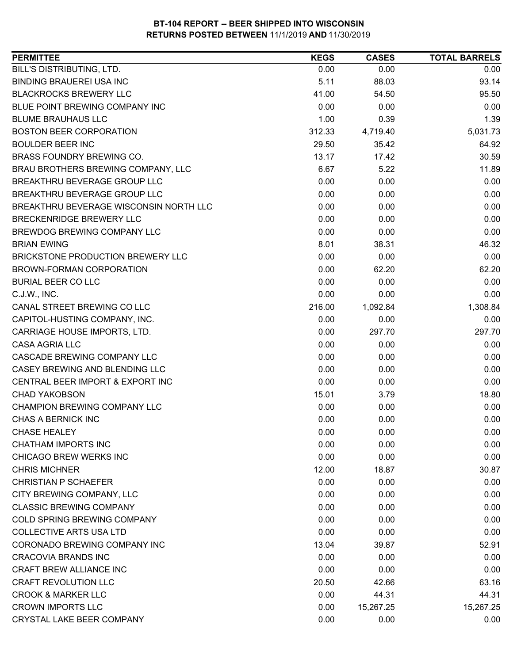| <b>PERMITTEE</b>                       | <b>KEGS</b> | <b>CASES</b> | <b>TOTAL BARRELS</b> |
|----------------------------------------|-------------|--------------|----------------------|
| BILL'S DISTRIBUTING, LTD.              | 0.00        | 0.00         | 0.00                 |
| <b>BINDING BRAUEREI USA INC</b>        | 5.11        | 88.03        | 93.14                |
| <b>BLACKROCKS BREWERY LLC</b>          | 41.00       | 54.50        | 95.50                |
| BLUE POINT BREWING COMPANY INC         | 0.00        | 0.00         | 0.00                 |
| <b>BLUME BRAUHAUS LLC</b>              | 1.00        | 0.39         | 1.39                 |
| <b>BOSTON BEER CORPORATION</b>         | 312.33      | 4,719.40     | 5,031.73             |
| <b>BOULDER BEER INC</b>                | 29.50       | 35.42        | 64.92                |
| BRASS FOUNDRY BREWING CO.              | 13.17       | 17.42        | 30.59                |
| BRAU BROTHERS BREWING COMPANY, LLC     | 6.67        | 5.22         | 11.89                |
| BREAKTHRU BEVERAGE GROUP LLC           | 0.00        | 0.00         | 0.00                 |
| BREAKTHRU BEVERAGE GROUP LLC           | 0.00        | 0.00         | 0.00                 |
| BREAKTHRU BEVERAGE WISCONSIN NORTH LLC | 0.00        | 0.00         | 0.00                 |
| <b>BRECKENRIDGE BREWERY LLC</b>        | 0.00        | 0.00         | 0.00                 |
| BREWDOG BREWING COMPANY LLC            | 0.00        | 0.00         | 0.00                 |
| <b>BRIAN EWING</b>                     | 8.01        | 38.31        | 46.32                |
| BRICKSTONE PRODUCTION BREWERY LLC      | 0.00        | 0.00         | 0.00                 |
| BROWN-FORMAN CORPORATION               | 0.00        | 62.20        | 62.20                |
| <b>BURIAL BEER CO LLC</b>              | 0.00        | 0.00         | 0.00                 |
| C.J.W., INC.                           | 0.00        | 0.00         | 0.00                 |
| CANAL STREET BREWING CO LLC            | 216.00      | 1,092.84     | 1,308.84             |
| CAPITOL-HUSTING COMPANY, INC.          | 0.00        | 0.00         | 0.00                 |
| CARRIAGE HOUSE IMPORTS, LTD.           | 0.00        | 297.70       | 297.70               |
| <b>CASA AGRIA LLC</b>                  | 0.00        | 0.00         | 0.00                 |
| CASCADE BREWING COMPANY LLC            | 0.00        | 0.00         | 0.00                 |
| CASEY BREWING AND BLENDING LLC         | 0.00        | 0.00         | 0.00                 |
| CENTRAL BEER IMPORT & EXPORT INC       | 0.00        | 0.00         | 0.00                 |
| <b>CHAD YAKOBSON</b>                   | 15.01       | 3.79         | 18.80                |
| CHAMPION BREWING COMPANY LLC           | 0.00        | 0.00         | 0.00                 |
| CHAS A BERNICK INC                     | 0.00        | 0.00         | 0.00                 |
| <b>CHASE HEALEY</b>                    | 0.00        | 0.00         | 0.00                 |
| <b>CHATHAM IMPORTS INC</b>             | 0.00        | 0.00         | 0.00                 |
| <b>CHICAGO BREW WERKS INC</b>          | 0.00        | 0.00         | 0.00                 |
| <b>CHRIS MICHNER</b>                   | 12.00       | 18.87        | 30.87                |
| <b>CHRISTIAN P SCHAEFER</b>            | 0.00        | 0.00         | 0.00                 |
| CITY BREWING COMPANY, LLC              | 0.00        | 0.00         | 0.00                 |
| <b>CLASSIC BREWING COMPANY</b>         | 0.00        | 0.00         | 0.00                 |
| COLD SPRING BREWING COMPANY            | 0.00        | 0.00         | 0.00                 |
| <b>COLLECTIVE ARTS USA LTD</b>         | 0.00        | 0.00         | 0.00                 |
| CORONADO BREWING COMPANY INC           | 13.04       | 39.87        | 52.91                |
| <b>CRACOVIA BRANDS INC</b>             | 0.00        | 0.00         | 0.00                 |
| CRAFT BREW ALLIANCE INC                | 0.00        | 0.00         | 0.00                 |
| <b>CRAFT REVOLUTION LLC</b>            | 20.50       | 42.66        | 63.16                |
| <b>CROOK &amp; MARKER LLC</b>          | 0.00        | 44.31        | 44.31                |
| <b>CROWN IMPORTS LLC</b>               | 0.00        | 15,267.25    | 15,267.25            |
| CRYSTAL LAKE BEER COMPANY              | 0.00        | 0.00         | 0.00                 |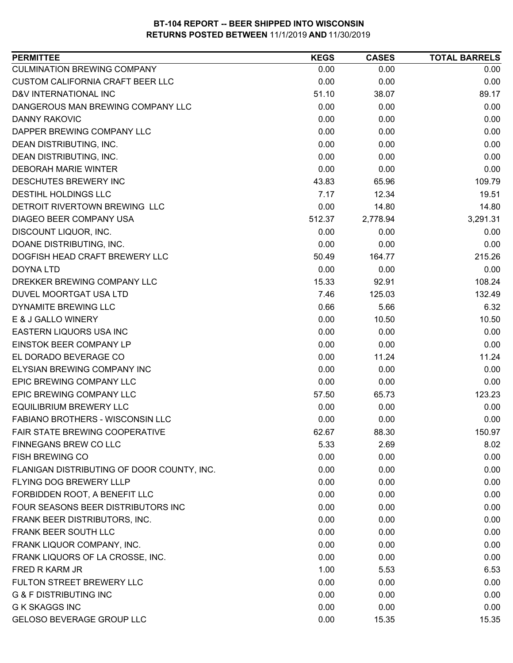| <b>PERMITTEE</b>                           | <b>KEGS</b> | <b>CASES</b> | <b>TOTAL BARRELS</b> |
|--------------------------------------------|-------------|--------------|----------------------|
| <b>CULMINATION BREWING COMPANY</b>         | 0.00        | 0.00         | 0.00                 |
| CUSTOM CALIFORNIA CRAFT BEER LLC           | 0.00        | 0.00         | 0.00                 |
| D&V INTERNATIONAL INC                      | 51.10       | 38.07        | 89.17                |
| DANGEROUS MAN BREWING COMPANY LLC          | 0.00        | 0.00         | 0.00                 |
| <b>DANNY RAKOVIC</b>                       | 0.00        | 0.00         | 0.00                 |
| DAPPER BREWING COMPANY LLC                 | 0.00        | 0.00         | 0.00                 |
| DEAN DISTRIBUTING, INC.                    | 0.00        | 0.00         | 0.00                 |
| DEAN DISTRIBUTING, INC.                    | 0.00        | 0.00         | 0.00                 |
| <b>DEBORAH MARIE WINTER</b>                | 0.00        | 0.00         | 0.00                 |
| DESCHUTES BREWERY INC                      | 43.83       | 65.96        | 109.79               |
| DESTIHL HOLDINGS LLC                       | 7.17        | 12.34        | 19.51                |
| DETROIT RIVERTOWN BREWING LLC              | 0.00        | 14.80        | 14.80                |
| DIAGEO BEER COMPANY USA                    | 512.37      | 2,778.94     | 3,291.31             |
| DISCOUNT LIQUOR, INC.                      | 0.00        | 0.00         | 0.00                 |
| DOANE DISTRIBUTING, INC.                   | 0.00        | 0.00         | 0.00                 |
| DOGFISH HEAD CRAFT BREWERY LLC             | 50.49       | 164.77       | 215.26               |
| <b>DOYNA LTD</b>                           | 0.00        | 0.00         | 0.00                 |
| DREKKER BREWING COMPANY LLC                | 15.33       | 92.91        | 108.24               |
| DUVEL MOORTGAT USA LTD                     | 7.46        | 125.03       | 132.49               |
| DYNAMITE BREWING LLC                       | 0.66        | 5.66         | 6.32                 |
| E & J GALLO WINERY                         | 0.00        | 10.50        | 10.50                |
| EASTERN LIQUORS USA INC                    | 0.00        | 0.00         | 0.00                 |
| EINSTOK BEER COMPANY LP                    | 0.00        | 0.00         | 0.00                 |
| EL DORADO BEVERAGE CO                      | 0.00        | 11.24        | 11.24                |
| ELYSIAN BREWING COMPANY INC                | 0.00        | 0.00         | 0.00                 |
| EPIC BREWING COMPANY LLC                   | 0.00        | 0.00         | 0.00                 |
| EPIC BREWING COMPANY LLC                   | 57.50       | 65.73        | 123.23               |
| <b>EQUILIBRIUM BREWERY LLC</b>             | 0.00        | 0.00         | 0.00                 |
| <b>FABIANO BROTHERS - WISCONSIN LLC</b>    | 0.00        | 0.00         | 0.00                 |
| <b>FAIR STATE BREWING COOPERATIVE</b>      | 62.67       | 88.30        | 150.97               |
| <b>FINNEGANS BREW CO LLC</b>               | 5.33        | 2.69         | 8.02                 |
| <b>FISH BREWING CO</b>                     | 0.00        | 0.00         | 0.00                 |
| FLANIGAN DISTRIBUTING OF DOOR COUNTY, INC. | 0.00        | 0.00         | 0.00                 |
| FLYING DOG BREWERY LLLP                    | 0.00        | 0.00         | 0.00                 |
| FORBIDDEN ROOT, A BENEFIT LLC              | 0.00        | 0.00         | 0.00                 |
| FOUR SEASONS BEER DISTRIBUTORS INC         | 0.00        | 0.00         | 0.00                 |
| FRANK BEER DISTRIBUTORS, INC.              | 0.00        | 0.00         | 0.00                 |
| FRANK BEER SOUTH LLC                       | 0.00        | 0.00         | 0.00                 |
| FRANK LIQUOR COMPANY, INC.                 | 0.00        | 0.00         | 0.00                 |
| FRANK LIQUORS OF LA CROSSE, INC.           | 0.00        | 0.00         | 0.00                 |
| FRED R KARM JR                             | 1.00        | 5.53         | 6.53                 |
| FULTON STREET BREWERY LLC                  | 0.00        | 0.00         | 0.00                 |
| <b>G &amp; F DISTRIBUTING INC</b>          | 0.00        | 0.00         | 0.00                 |
| <b>G K SKAGGS INC</b>                      | 0.00        | 0.00         | 0.00                 |
| <b>GELOSO BEVERAGE GROUP LLC</b>           | 0.00        |              | 15.35                |
|                                            |             | 15.35        |                      |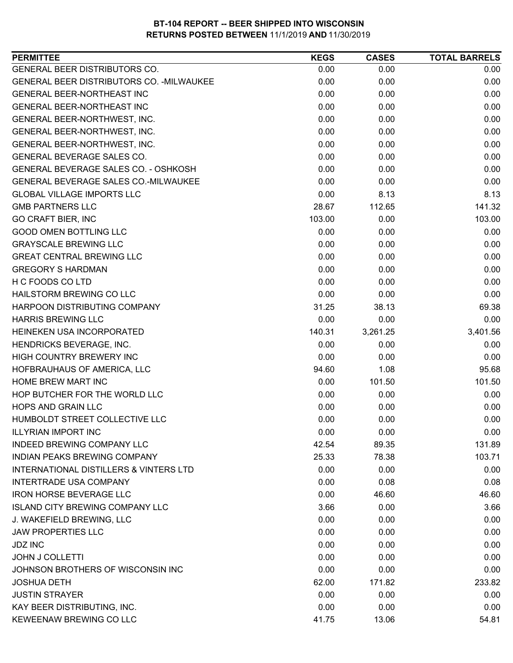| <b>PERMITTEE</b>                                  | <b>KEGS</b> | <b>CASES</b> | <b>TOTAL BARRELS</b> |
|---------------------------------------------------|-------------|--------------|----------------------|
| GENERAL BEER DISTRIBUTORS CO.                     | 0.00        | 0.00         | 0.00                 |
| GENERAL BEER DISTRIBUTORS CO. - MILWAUKEE         | 0.00        | 0.00         | 0.00                 |
| GENERAL BEER-NORTHEAST INC                        | 0.00        | 0.00         | 0.00                 |
| GENERAL BEER-NORTHEAST INC                        | 0.00        | 0.00         | 0.00                 |
| GENERAL BEER-NORTHWEST, INC.                      | 0.00        | 0.00         | 0.00                 |
| GENERAL BEER-NORTHWEST, INC.                      | 0.00        | 0.00         | 0.00                 |
| GENERAL BEER-NORTHWEST, INC.                      | 0.00        | 0.00         | 0.00                 |
| GENERAL BEVERAGE SALES CO.                        | 0.00        | 0.00         | 0.00                 |
| GENERAL BEVERAGE SALES CO. - OSHKOSH              | 0.00        | 0.00         | 0.00                 |
| GENERAL BEVERAGE SALES CO.-MILWAUKEE              | 0.00        | 0.00         | 0.00                 |
| <b>GLOBAL VILLAGE IMPORTS LLC</b>                 | 0.00        | 8.13         | 8.13                 |
| <b>GMB PARTNERS LLC</b>                           | 28.67       | 112.65       | 141.32               |
| <b>GO CRAFT BIER, INC</b>                         | 103.00      | 0.00         | 103.00               |
| <b>GOOD OMEN BOTTLING LLC</b>                     | 0.00        | 0.00         | 0.00                 |
| <b>GRAYSCALE BREWING LLC</b>                      | 0.00        | 0.00         | 0.00                 |
| <b>GREAT CENTRAL BREWING LLC</b>                  | 0.00        | 0.00         | 0.00                 |
| <b>GREGORY S HARDMAN</b>                          | 0.00        | 0.00         | 0.00                 |
| H C FOODS CO LTD                                  | 0.00        | 0.00         | 0.00                 |
| HAILSTORM BREWING CO LLC                          | 0.00        | 0.00         | 0.00                 |
| HARPOON DISTRIBUTING COMPANY                      | 31.25       | 38.13        | 69.38                |
| <b>HARRIS BREWING LLC</b>                         | 0.00        | 0.00         | 0.00                 |
| HEINEKEN USA INCORPORATED                         | 140.31      | 3,261.25     | 3,401.56             |
| HENDRICKS BEVERAGE, INC.                          | 0.00        | 0.00         | 0.00                 |
| HIGH COUNTRY BREWERY INC                          | 0.00        | 0.00         | 0.00                 |
| HOFBRAUHAUS OF AMERICA, LLC                       | 94.60       | 1.08         | 95.68                |
| <b>HOME BREW MART INC</b>                         | 0.00        | 101.50       | 101.50               |
| HOP BUTCHER FOR THE WORLD LLC                     | 0.00        | 0.00         | 0.00                 |
| <b>HOPS AND GRAIN LLC</b>                         | 0.00        | 0.00         | 0.00                 |
| HUMBOLDT STREET COLLECTIVE LLC                    | 0.00        | 0.00         | 0.00                 |
| <b>ILLYRIAN IMPORT INC</b>                        | 0.00        | 0.00         | 0.00                 |
| <b>INDEED BREWING COMPANY LLC</b>                 | 42.54       | 89.35        | 131.89               |
| <b>INDIAN PEAKS BREWING COMPANY</b>               | 25.33       | 78.38        | 103.71               |
| <b>INTERNATIONAL DISTILLERS &amp; VINTERS LTD</b> | 0.00        | 0.00         | 0.00                 |
| <b>INTERTRADE USA COMPANY</b>                     | 0.00        | 0.08         | 0.08                 |
| <b>IRON HORSE BEVERAGE LLC</b>                    | 0.00        | 46.60        | 46.60                |
| <b>ISLAND CITY BREWING COMPANY LLC</b>            | 3.66        | 0.00         | 3.66                 |
| J. WAKEFIELD BREWING, LLC                         | 0.00        | 0.00         | 0.00                 |
| <b>JAW PROPERTIES LLC</b>                         | 0.00        | 0.00         | 0.00                 |
| <b>JDZ INC</b>                                    | 0.00        | 0.00         | 0.00                 |
| <b>JOHN J COLLETTI</b>                            | 0.00        | 0.00         | 0.00                 |
| JOHNSON BROTHERS OF WISCONSIN INC                 | 0.00        | 0.00         | 0.00                 |
| <b>JOSHUA DETH</b>                                | 62.00       | 171.82       | 233.82               |
| <b>JUSTIN STRAYER</b>                             | 0.00        | 0.00         | 0.00                 |
| KAY BEER DISTRIBUTING, INC.                       | 0.00        | 0.00         | 0.00                 |
| KEWEENAW BREWING CO LLC                           | 41.75       | 13.06        | 54.81                |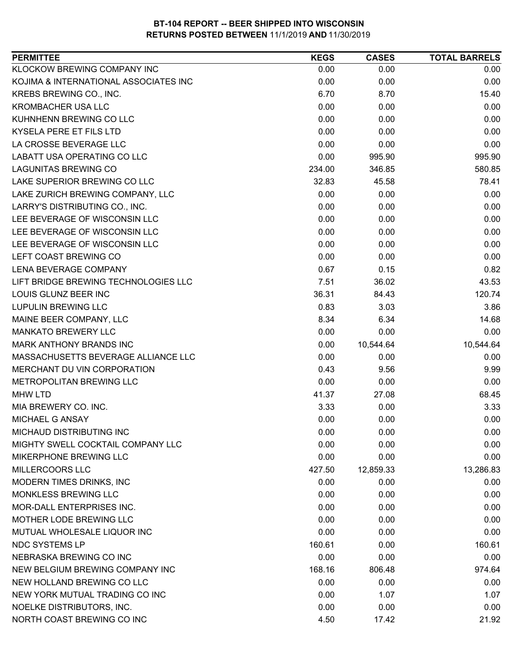| <b>PERMITTEE</b>                      | <b>KEGS</b> | <b>CASES</b> | <b>TOTAL BARRELS</b> |
|---------------------------------------|-------------|--------------|----------------------|
| KLOCKOW BREWING COMPANY INC           | 0.00        | 0.00         | 0.00                 |
| KOJIMA & INTERNATIONAL ASSOCIATES INC | 0.00        | 0.00         | 0.00                 |
| KREBS BREWING CO., INC.               | 6.70        | 8.70         | 15.40                |
| <b>KROMBACHER USA LLC</b>             | 0.00        | 0.00         | 0.00                 |
| KUHNHENN BREWING CO LLC               | 0.00        | 0.00         | 0.00                 |
| KYSELA PERE ET FILS LTD               | 0.00        | 0.00         | 0.00                 |
| LA CROSSE BEVERAGE LLC                | 0.00        | 0.00         | 0.00                 |
| LABATT USA OPERATING CO LLC           | 0.00        | 995.90       | 995.90               |
| <b>LAGUNITAS BREWING CO</b>           | 234.00      | 346.85       | 580.85               |
| LAKE SUPERIOR BREWING CO LLC          | 32.83       | 45.58        | 78.41                |
| LAKE ZURICH BREWING COMPANY, LLC      | 0.00        | 0.00         | 0.00                 |
| LARRY'S DISTRIBUTING CO., INC.        | 0.00        | 0.00         | 0.00                 |
| LEE BEVERAGE OF WISCONSIN LLC         | 0.00        | 0.00         | 0.00                 |
| LEE BEVERAGE OF WISCONSIN LLC         | 0.00        | 0.00         | 0.00                 |
| LEE BEVERAGE OF WISCONSIN LLC         | 0.00        | 0.00         | 0.00                 |
| LEFT COAST BREWING CO                 | 0.00        | 0.00         | 0.00                 |
| <b>LENA BEVERAGE COMPANY</b>          | 0.67        | 0.15         | 0.82                 |
| LIFT BRIDGE BREWING TECHNOLOGIES LLC  | 7.51        | 36.02        | 43.53                |
| LOUIS GLUNZ BEER INC                  | 36.31       | 84.43        | 120.74               |
| <b>LUPULIN BREWING LLC</b>            | 0.83        | 3.03         | 3.86                 |
| MAINE BEER COMPANY, LLC               | 8.34        | 6.34         | 14.68                |
| <b>MANKATO BREWERY LLC</b>            | 0.00        | 0.00         | 0.00                 |
| MARK ANTHONY BRANDS INC               | 0.00        | 10,544.64    | 10,544.64            |
| MASSACHUSETTS BEVERAGE ALLIANCE LLC   | 0.00        | 0.00         | 0.00                 |
| MERCHANT DU VIN CORPORATION           | 0.43        | 9.56         | 9.99                 |
| METROPOLITAN BREWING LLC              | 0.00        | 0.00         | 0.00                 |
| <b>MHW LTD</b>                        | 41.37       | 27.08        | 68.45                |
| MIA BREWERY CO. INC.                  | 3.33        | 0.00         | 3.33                 |
| MICHAEL G ANSAY                       | 0.00        | 0.00         | 0.00                 |
| MICHAUD DISTRIBUTING INC              | 0.00        | 0.00         | 0.00                 |
| MIGHTY SWELL COCKTAIL COMPANY LLC     | 0.00        | 0.00         | 0.00                 |
| MIKERPHONE BREWING LLC                | 0.00        | 0.00         | 0.00                 |
| MILLERCOORS LLC                       | 427.50      | 12,859.33    | 13,286.83            |
| MODERN TIMES DRINKS, INC              | 0.00        | 0.00         | 0.00                 |
| MONKLESS BREWING LLC                  | 0.00        | 0.00         | 0.00                 |
| MOR-DALL ENTERPRISES INC.             | 0.00        | 0.00         | 0.00                 |
| MOTHER LODE BREWING LLC               | 0.00        | 0.00         | 0.00                 |
| MUTUAL WHOLESALE LIQUOR INC           | 0.00        | 0.00         | 0.00                 |
| <b>NDC SYSTEMS LP</b>                 | 160.61      | 0.00         | 160.61               |
| NEBRASKA BREWING CO INC               | 0.00        | 0.00         | 0.00                 |
| NEW BELGIUM BREWING COMPANY INC       | 168.16      | 806.48       | 974.64               |
| NEW HOLLAND BREWING CO LLC            | 0.00        | 0.00         | 0.00                 |
| NEW YORK MUTUAL TRADING CO INC        | 0.00        | 1.07         | 1.07                 |
| NOELKE DISTRIBUTORS, INC.             | 0.00        | 0.00         | 0.00                 |
| NORTH COAST BREWING CO INC            | 4.50        | 17.42        | 21.92                |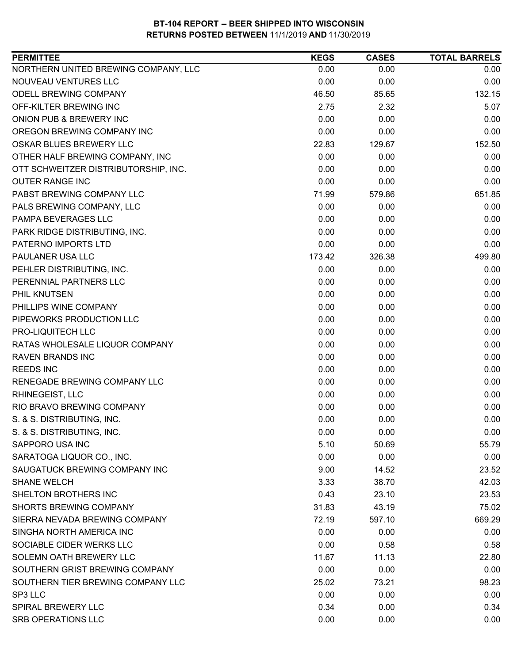| NORTHERN UNITED BREWING COMPANY, LLC<br>0.00<br>0.00<br>0.00<br>NOUVEAU VENTURES LLC<br>0.00<br>0.00<br>0.00<br>ODELL BREWING COMPANY<br>132.15<br>46.50<br>85.65<br>5.07<br>OFF-KILTER BREWING INC<br>2.75<br>2.32<br>ONION PUB & BREWERY INC<br>0.00<br>0.00<br>0.00<br>OREGON BREWING COMPANY INC<br>0.00<br>0.00<br>0.00<br>OSKAR BLUES BREWERY LLC<br>129.67<br>152.50<br>22.83<br>OTHER HALF BREWING COMPANY, INC<br>0.00<br>0.00<br>0.00<br>OTT SCHWEITZER DISTRIBUTORSHIP, INC.<br>0.00<br>0.00<br>0.00<br><b>OUTER RANGE INC</b><br>0.00<br>0.00<br>0.00<br>PABST BREWING COMPANY LLC<br>71.99<br>579.86<br>651.85<br>PALS BREWING COMPANY, LLC<br>0.00<br>0.00<br>0.00<br>PAMPA BEVERAGES LLC<br>0.00<br>0.00<br>0.00<br>PARK RIDGE DISTRIBUTING, INC.<br>0.00<br>0.00<br>0.00<br>PATERNO IMPORTS LTD<br>0.00<br>0.00<br>0.00<br>499.80<br>PAULANER USA LLC<br>173.42<br>326.38<br>PEHLER DISTRIBUTING, INC.<br>0.00<br>0.00<br>0.00<br>PERENNIAL PARTNERS LLC<br>0.00<br>0.00<br>0.00<br>PHIL KNUTSEN<br>0.00<br>0.00<br>0.00<br>0.00<br>0.00<br>PHILLIPS WINE COMPANY<br>0.00<br>PIPEWORKS PRODUCTION LLC<br>0.00<br>0.00<br>0.00<br>PRO-LIQUITECH LLC<br>0.00<br>0.00<br>0.00<br>RATAS WHOLESALE LIQUOR COMPANY<br>0.00<br>0.00<br>0.00<br>0.00<br>0.00<br>0.00<br><b>RAVEN BRANDS INC</b><br>0.00<br><b>REEDS INC</b><br>0.00<br>0.00<br>0.00<br>0.00<br>RENEGADE BREWING COMPANY LLC<br>0.00<br>RHINEGEIST, LLC<br>0.00<br>0.00<br>0.00<br>RIO BRAVO BREWING COMPANY<br>0.00<br>0.00<br>0.00<br>0.00<br>0.00<br>S. & S. DISTRIBUTING, INC.<br>0.00<br>S. & S. DISTRIBUTING, INC.<br>0.00<br>0.00<br>0.00<br>5.10<br>55.79<br>SAPPORO USA INC<br>50.69<br>SARATOGA LIQUOR CO., INC.<br>0.00<br>0.00<br>0.00<br>23.52<br>SAUGATUCK BREWING COMPANY INC<br>9.00<br>14.52<br>42.03<br><b>SHANE WELCH</b><br>3.33<br>38.70<br>0.43<br>23.53<br>SHELTON BROTHERS INC<br>23.10<br>SHORTS BREWING COMPANY<br>75.02<br>31.83<br>43.19<br>SIERRA NEVADA BREWING COMPANY<br>669.29<br>72.19<br>597.10<br>SINGHA NORTH AMERICA INC<br>0.00<br>0.00<br>0.00<br>SOCIABLE CIDER WERKS LLC<br>0.00<br>0.58<br>0.58<br>SOLEMN OATH BREWERY LLC<br>11.67<br>11.13<br>22.80<br>SOUTHERN GRIST BREWING COMPANY<br>0.00<br>0.00<br>0.00<br>SOUTHERN TIER BREWING COMPANY LLC<br>25.02<br>73.21<br>98.23<br>0.00<br>SP3 LLC<br>0.00<br>0.00<br><b>SPIRAL BREWERY LLC</b><br>0.34<br>0.00<br>0.34<br>SRB OPERATIONS LLC<br>0.00<br>0.00<br>0.00 | <b>PERMITTEE</b> | <b>KEGS</b> | <b>CASES</b> | <b>TOTAL BARRELS</b> |
|-----------------------------------------------------------------------------------------------------------------------------------------------------------------------------------------------------------------------------------------------------------------------------------------------------------------------------------------------------------------------------------------------------------------------------------------------------------------------------------------------------------------------------------------------------------------------------------------------------------------------------------------------------------------------------------------------------------------------------------------------------------------------------------------------------------------------------------------------------------------------------------------------------------------------------------------------------------------------------------------------------------------------------------------------------------------------------------------------------------------------------------------------------------------------------------------------------------------------------------------------------------------------------------------------------------------------------------------------------------------------------------------------------------------------------------------------------------------------------------------------------------------------------------------------------------------------------------------------------------------------------------------------------------------------------------------------------------------------------------------------------------------------------------------------------------------------------------------------------------------------------------------------------------------------------------------------------------------------------------------------------------------------------------------------------------------------------------------------------------------------------------------------------------------------------------------------------------------------------------------------------------------------------------------------------------------------------------------------------------------------------------------------------------------------------------------|------------------|-------------|--------------|----------------------|
|                                                                                                                                                                                                                                                                                                                                                                                                                                                                                                                                                                                                                                                                                                                                                                                                                                                                                                                                                                                                                                                                                                                                                                                                                                                                                                                                                                                                                                                                                                                                                                                                                                                                                                                                                                                                                                                                                                                                                                                                                                                                                                                                                                                                                                                                                                                                                                                                                                         |                  |             |              |                      |
|                                                                                                                                                                                                                                                                                                                                                                                                                                                                                                                                                                                                                                                                                                                                                                                                                                                                                                                                                                                                                                                                                                                                                                                                                                                                                                                                                                                                                                                                                                                                                                                                                                                                                                                                                                                                                                                                                                                                                                                                                                                                                                                                                                                                                                                                                                                                                                                                                                         |                  |             |              |                      |
|                                                                                                                                                                                                                                                                                                                                                                                                                                                                                                                                                                                                                                                                                                                                                                                                                                                                                                                                                                                                                                                                                                                                                                                                                                                                                                                                                                                                                                                                                                                                                                                                                                                                                                                                                                                                                                                                                                                                                                                                                                                                                                                                                                                                                                                                                                                                                                                                                                         |                  |             |              |                      |
|                                                                                                                                                                                                                                                                                                                                                                                                                                                                                                                                                                                                                                                                                                                                                                                                                                                                                                                                                                                                                                                                                                                                                                                                                                                                                                                                                                                                                                                                                                                                                                                                                                                                                                                                                                                                                                                                                                                                                                                                                                                                                                                                                                                                                                                                                                                                                                                                                                         |                  |             |              |                      |
|                                                                                                                                                                                                                                                                                                                                                                                                                                                                                                                                                                                                                                                                                                                                                                                                                                                                                                                                                                                                                                                                                                                                                                                                                                                                                                                                                                                                                                                                                                                                                                                                                                                                                                                                                                                                                                                                                                                                                                                                                                                                                                                                                                                                                                                                                                                                                                                                                                         |                  |             |              |                      |
|                                                                                                                                                                                                                                                                                                                                                                                                                                                                                                                                                                                                                                                                                                                                                                                                                                                                                                                                                                                                                                                                                                                                                                                                                                                                                                                                                                                                                                                                                                                                                                                                                                                                                                                                                                                                                                                                                                                                                                                                                                                                                                                                                                                                                                                                                                                                                                                                                                         |                  |             |              |                      |
|                                                                                                                                                                                                                                                                                                                                                                                                                                                                                                                                                                                                                                                                                                                                                                                                                                                                                                                                                                                                                                                                                                                                                                                                                                                                                                                                                                                                                                                                                                                                                                                                                                                                                                                                                                                                                                                                                                                                                                                                                                                                                                                                                                                                                                                                                                                                                                                                                                         |                  |             |              |                      |
|                                                                                                                                                                                                                                                                                                                                                                                                                                                                                                                                                                                                                                                                                                                                                                                                                                                                                                                                                                                                                                                                                                                                                                                                                                                                                                                                                                                                                                                                                                                                                                                                                                                                                                                                                                                                                                                                                                                                                                                                                                                                                                                                                                                                                                                                                                                                                                                                                                         |                  |             |              |                      |
|                                                                                                                                                                                                                                                                                                                                                                                                                                                                                                                                                                                                                                                                                                                                                                                                                                                                                                                                                                                                                                                                                                                                                                                                                                                                                                                                                                                                                                                                                                                                                                                                                                                                                                                                                                                                                                                                                                                                                                                                                                                                                                                                                                                                                                                                                                                                                                                                                                         |                  |             |              |                      |
|                                                                                                                                                                                                                                                                                                                                                                                                                                                                                                                                                                                                                                                                                                                                                                                                                                                                                                                                                                                                                                                                                                                                                                                                                                                                                                                                                                                                                                                                                                                                                                                                                                                                                                                                                                                                                                                                                                                                                                                                                                                                                                                                                                                                                                                                                                                                                                                                                                         |                  |             |              |                      |
|                                                                                                                                                                                                                                                                                                                                                                                                                                                                                                                                                                                                                                                                                                                                                                                                                                                                                                                                                                                                                                                                                                                                                                                                                                                                                                                                                                                                                                                                                                                                                                                                                                                                                                                                                                                                                                                                                                                                                                                                                                                                                                                                                                                                                                                                                                                                                                                                                                         |                  |             |              |                      |
|                                                                                                                                                                                                                                                                                                                                                                                                                                                                                                                                                                                                                                                                                                                                                                                                                                                                                                                                                                                                                                                                                                                                                                                                                                                                                                                                                                                                                                                                                                                                                                                                                                                                                                                                                                                                                                                                                                                                                                                                                                                                                                                                                                                                                                                                                                                                                                                                                                         |                  |             |              |                      |
|                                                                                                                                                                                                                                                                                                                                                                                                                                                                                                                                                                                                                                                                                                                                                                                                                                                                                                                                                                                                                                                                                                                                                                                                                                                                                                                                                                                                                                                                                                                                                                                                                                                                                                                                                                                                                                                                                                                                                                                                                                                                                                                                                                                                                                                                                                                                                                                                                                         |                  |             |              |                      |
|                                                                                                                                                                                                                                                                                                                                                                                                                                                                                                                                                                                                                                                                                                                                                                                                                                                                                                                                                                                                                                                                                                                                                                                                                                                                                                                                                                                                                                                                                                                                                                                                                                                                                                                                                                                                                                                                                                                                                                                                                                                                                                                                                                                                                                                                                                                                                                                                                                         |                  |             |              |                      |
|                                                                                                                                                                                                                                                                                                                                                                                                                                                                                                                                                                                                                                                                                                                                                                                                                                                                                                                                                                                                                                                                                                                                                                                                                                                                                                                                                                                                                                                                                                                                                                                                                                                                                                                                                                                                                                                                                                                                                                                                                                                                                                                                                                                                                                                                                                                                                                                                                                         |                  |             |              |                      |
|                                                                                                                                                                                                                                                                                                                                                                                                                                                                                                                                                                                                                                                                                                                                                                                                                                                                                                                                                                                                                                                                                                                                                                                                                                                                                                                                                                                                                                                                                                                                                                                                                                                                                                                                                                                                                                                                                                                                                                                                                                                                                                                                                                                                                                                                                                                                                                                                                                         |                  |             |              |                      |
|                                                                                                                                                                                                                                                                                                                                                                                                                                                                                                                                                                                                                                                                                                                                                                                                                                                                                                                                                                                                                                                                                                                                                                                                                                                                                                                                                                                                                                                                                                                                                                                                                                                                                                                                                                                                                                                                                                                                                                                                                                                                                                                                                                                                                                                                                                                                                                                                                                         |                  |             |              |                      |
|                                                                                                                                                                                                                                                                                                                                                                                                                                                                                                                                                                                                                                                                                                                                                                                                                                                                                                                                                                                                                                                                                                                                                                                                                                                                                                                                                                                                                                                                                                                                                                                                                                                                                                                                                                                                                                                                                                                                                                                                                                                                                                                                                                                                                                                                                                                                                                                                                                         |                  |             |              |                      |
|                                                                                                                                                                                                                                                                                                                                                                                                                                                                                                                                                                                                                                                                                                                                                                                                                                                                                                                                                                                                                                                                                                                                                                                                                                                                                                                                                                                                                                                                                                                                                                                                                                                                                                                                                                                                                                                                                                                                                                                                                                                                                                                                                                                                                                                                                                                                                                                                                                         |                  |             |              |                      |
|                                                                                                                                                                                                                                                                                                                                                                                                                                                                                                                                                                                                                                                                                                                                                                                                                                                                                                                                                                                                                                                                                                                                                                                                                                                                                                                                                                                                                                                                                                                                                                                                                                                                                                                                                                                                                                                                                                                                                                                                                                                                                                                                                                                                                                                                                                                                                                                                                                         |                  |             |              |                      |
|                                                                                                                                                                                                                                                                                                                                                                                                                                                                                                                                                                                                                                                                                                                                                                                                                                                                                                                                                                                                                                                                                                                                                                                                                                                                                                                                                                                                                                                                                                                                                                                                                                                                                                                                                                                                                                                                                                                                                                                                                                                                                                                                                                                                                                                                                                                                                                                                                                         |                  |             |              |                      |
|                                                                                                                                                                                                                                                                                                                                                                                                                                                                                                                                                                                                                                                                                                                                                                                                                                                                                                                                                                                                                                                                                                                                                                                                                                                                                                                                                                                                                                                                                                                                                                                                                                                                                                                                                                                                                                                                                                                                                                                                                                                                                                                                                                                                                                                                                                                                                                                                                                         |                  |             |              |                      |
|                                                                                                                                                                                                                                                                                                                                                                                                                                                                                                                                                                                                                                                                                                                                                                                                                                                                                                                                                                                                                                                                                                                                                                                                                                                                                                                                                                                                                                                                                                                                                                                                                                                                                                                                                                                                                                                                                                                                                                                                                                                                                                                                                                                                                                                                                                                                                                                                                                         |                  |             |              |                      |
|                                                                                                                                                                                                                                                                                                                                                                                                                                                                                                                                                                                                                                                                                                                                                                                                                                                                                                                                                                                                                                                                                                                                                                                                                                                                                                                                                                                                                                                                                                                                                                                                                                                                                                                                                                                                                                                                                                                                                                                                                                                                                                                                                                                                                                                                                                                                                                                                                                         |                  |             |              |                      |
|                                                                                                                                                                                                                                                                                                                                                                                                                                                                                                                                                                                                                                                                                                                                                                                                                                                                                                                                                                                                                                                                                                                                                                                                                                                                                                                                                                                                                                                                                                                                                                                                                                                                                                                                                                                                                                                                                                                                                                                                                                                                                                                                                                                                                                                                                                                                                                                                                                         |                  |             |              |                      |
|                                                                                                                                                                                                                                                                                                                                                                                                                                                                                                                                                                                                                                                                                                                                                                                                                                                                                                                                                                                                                                                                                                                                                                                                                                                                                                                                                                                                                                                                                                                                                                                                                                                                                                                                                                                                                                                                                                                                                                                                                                                                                                                                                                                                                                                                                                                                                                                                                                         |                  |             |              |                      |
|                                                                                                                                                                                                                                                                                                                                                                                                                                                                                                                                                                                                                                                                                                                                                                                                                                                                                                                                                                                                                                                                                                                                                                                                                                                                                                                                                                                                                                                                                                                                                                                                                                                                                                                                                                                                                                                                                                                                                                                                                                                                                                                                                                                                                                                                                                                                                                                                                                         |                  |             |              |                      |
|                                                                                                                                                                                                                                                                                                                                                                                                                                                                                                                                                                                                                                                                                                                                                                                                                                                                                                                                                                                                                                                                                                                                                                                                                                                                                                                                                                                                                                                                                                                                                                                                                                                                                                                                                                                                                                                                                                                                                                                                                                                                                                                                                                                                                                                                                                                                                                                                                                         |                  |             |              |                      |
|                                                                                                                                                                                                                                                                                                                                                                                                                                                                                                                                                                                                                                                                                                                                                                                                                                                                                                                                                                                                                                                                                                                                                                                                                                                                                                                                                                                                                                                                                                                                                                                                                                                                                                                                                                                                                                                                                                                                                                                                                                                                                                                                                                                                                                                                                                                                                                                                                                         |                  |             |              |                      |
|                                                                                                                                                                                                                                                                                                                                                                                                                                                                                                                                                                                                                                                                                                                                                                                                                                                                                                                                                                                                                                                                                                                                                                                                                                                                                                                                                                                                                                                                                                                                                                                                                                                                                                                                                                                                                                                                                                                                                                                                                                                                                                                                                                                                                                                                                                                                                                                                                                         |                  |             |              |                      |
|                                                                                                                                                                                                                                                                                                                                                                                                                                                                                                                                                                                                                                                                                                                                                                                                                                                                                                                                                                                                                                                                                                                                                                                                                                                                                                                                                                                                                                                                                                                                                                                                                                                                                                                                                                                                                                                                                                                                                                                                                                                                                                                                                                                                                                                                                                                                                                                                                                         |                  |             |              |                      |
|                                                                                                                                                                                                                                                                                                                                                                                                                                                                                                                                                                                                                                                                                                                                                                                                                                                                                                                                                                                                                                                                                                                                                                                                                                                                                                                                                                                                                                                                                                                                                                                                                                                                                                                                                                                                                                                                                                                                                                                                                                                                                                                                                                                                                                                                                                                                                                                                                                         |                  |             |              |                      |
|                                                                                                                                                                                                                                                                                                                                                                                                                                                                                                                                                                                                                                                                                                                                                                                                                                                                                                                                                                                                                                                                                                                                                                                                                                                                                                                                                                                                                                                                                                                                                                                                                                                                                                                                                                                                                                                                                                                                                                                                                                                                                                                                                                                                                                                                                                                                                                                                                                         |                  |             |              |                      |
|                                                                                                                                                                                                                                                                                                                                                                                                                                                                                                                                                                                                                                                                                                                                                                                                                                                                                                                                                                                                                                                                                                                                                                                                                                                                                                                                                                                                                                                                                                                                                                                                                                                                                                                                                                                                                                                                                                                                                                                                                                                                                                                                                                                                                                                                                                                                                                                                                                         |                  |             |              |                      |
|                                                                                                                                                                                                                                                                                                                                                                                                                                                                                                                                                                                                                                                                                                                                                                                                                                                                                                                                                                                                                                                                                                                                                                                                                                                                                                                                                                                                                                                                                                                                                                                                                                                                                                                                                                                                                                                                                                                                                                                                                                                                                                                                                                                                                                                                                                                                                                                                                                         |                  |             |              |                      |
|                                                                                                                                                                                                                                                                                                                                                                                                                                                                                                                                                                                                                                                                                                                                                                                                                                                                                                                                                                                                                                                                                                                                                                                                                                                                                                                                                                                                                                                                                                                                                                                                                                                                                                                                                                                                                                                                                                                                                                                                                                                                                                                                                                                                                                                                                                                                                                                                                                         |                  |             |              |                      |
|                                                                                                                                                                                                                                                                                                                                                                                                                                                                                                                                                                                                                                                                                                                                                                                                                                                                                                                                                                                                                                                                                                                                                                                                                                                                                                                                                                                                                                                                                                                                                                                                                                                                                                                                                                                                                                                                                                                                                                                                                                                                                                                                                                                                                                                                                                                                                                                                                                         |                  |             |              |                      |
|                                                                                                                                                                                                                                                                                                                                                                                                                                                                                                                                                                                                                                                                                                                                                                                                                                                                                                                                                                                                                                                                                                                                                                                                                                                                                                                                                                                                                                                                                                                                                                                                                                                                                                                                                                                                                                                                                                                                                                                                                                                                                                                                                                                                                                                                                                                                                                                                                                         |                  |             |              |                      |
|                                                                                                                                                                                                                                                                                                                                                                                                                                                                                                                                                                                                                                                                                                                                                                                                                                                                                                                                                                                                                                                                                                                                                                                                                                                                                                                                                                                                                                                                                                                                                                                                                                                                                                                                                                                                                                                                                                                                                                                                                                                                                                                                                                                                                                                                                                                                                                                                                                         |                  |             |              |                      |
|                                                                                                                                                                                                                                                                                                                                                                                                                                                                                                                                                                                                                                                                                                                                                                                                                                                                                                                                                                                                                                                                                                                                                                                                                                                                                                                                                                                                                                                                                                                                                                                                                                                                                                                                                                                                                                                                                                                                                                                                                                                                                                                                                                                                                                                                                                                                                                                                                                         |                  |             |              |                      |
|                                                                                                                                                                                                                                                                                                                                                                                                                                                                                                                                                                                                                                                                                                                                                                                                                                                                                                                                                                                                                                                                                                                                                                                                                                                                                                                                                                                                                                                                                                                                                                                                                                                                                                                                                                                                                                                                                                                                                                                                                                                                                                                                                                                                                                                                                                                                                                                                                                         |                  |             |              |                      |
|                                                                                                                                                                                                                                                                                                                                                                                                                                                                                                                                                                                                                                                                                                                                                                                                                                                                                                                                                                                                                                                                                                                                                                                                                                                                                                                                                                                                                                                                                                                                                                                                                                                                                                                                                                                                                                                                                                                                                                                                                                                                                                                                                                                                                                                                                                                                                                                                                                         |                  |             |              |                      |
|                                                                                                                                                                                                                                                                                                                                                                                                                                                                                                                                                                                                                                                                                                                                                                                                                                                                                                                                                                                                                                                                                                                                                                                                                                                                                                                                                                                                                                                                                                                                                                                                                                                                                                                                                                                                                                                                                                                                                                                                                                                                                                                                                                                                                                                                                                                                                                                                                                         |                  |             |              |                      |
|                                                                                                                                                                                                                                                                                                                                                                                                                                                                                                                                                                                                                                                                                                                                                                                                                                                                                                                                                                                                                                                                                                                                                                                                                                                                                                                                                                                                                                                                                                                                                                                                                                                                                                                                                                                                                                                                                                                                                                                                                                                                                                                                                                                                                                                                                                                                                                                                                                         |                  |             |              |                      |
|                                                                                                                                                                                                                                                                                                                                                                                                                                                                                                                                                                                                                                                                                                                                                                                                                                                                                                                                                                                                                                                                                                                                                                                                                                                                                                                                                                                                                                                                                                                                                                                                                                                                                                                                                                                                                                                                                                                                                                                                                                                                                                                                                                                                                                                                                                                                                                                                                                         |                  |             |              |                      |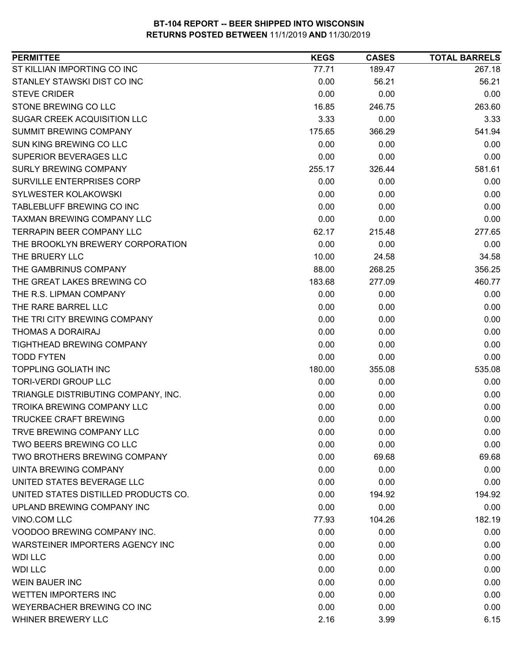| <b>PERMITTEE</b>                     | <b>KEGS</b> | <b>CASES</b> | <b>TOTAL BARRELS</b> |
|--------------------------------------|-------------|--------------|----------------------|
| ST KILLIAN IMPORTING CO INC          | 77.71       | 189.47       | 267.18               |
| STANLEY STAWSKI DIST CO INC          | 0.00        | 56.21        | 56.21                |
| <b>STEVE CRIDER</b>                  | 0.00        | 0.00         | 0.00                 |
| STONE BREWING CO LLC                 | 16.85       | 246.75       | 263.60               |
| <b>SUGAR CREEK ACQUISITION LLC</b>   | 3.33        | 0.00         | 3.33                 |
| <b>SUMMIT BREWING COMPANY</b>        | 175.65      | 366.29       | 541.94               |
| SUN KING BREWING CO LLC              | 0.00        | 0.00         | 0.00                 |
| SUPERIOR BEVERAGES LLC               | 0.00        | 0.00         | 0.00                 |
| <b>SURLY BREWING COMPANY</b>         | 255.17      | 326.44       | 581.61               |
| SURVILLE ENTERPRISES CORP            | 0.00        | 0.00         | 0.00                 |
| SYLWESTER KOLAKOWSKI                 | 0.00        | 0.00         | 0.00                 |
| TABLEBLUFF BREWING CO INC            | 0.00        | 0.00         | 0.00                 |
| TAXMAN BREWING COMPANY LLC           | 0.00        | 0.00         | 0.00                 |
| <b>TERRAPIN BEER COMPANY LLC</b>     | 62.17       | 215.48       | 277.65               |
| THE BROOKLYN BREWERY CORPORATION     | 0.00        | 0.00         | 0.00                 |
| THE BRUERY LLC                       | 10.00       | 24.58        | 34.58                |
| THE GAMBRINUS COMPANY                | 88.00       | 268.25       | 356.25               |
| THE GREAT LAKES BREWING CO           | 183.68      | 277.09       | 460.77               |
| THE R.S. LIPMAN COMPANY              | 0.00        | 0.00         | 0.00                 |
| THE RARE BARREL LLC                  | 0.00        | 0.00         | 0.00                 |
| THE TRI CITY BREWING COMPANY         | 0.00        | 0.00         | 0.00                 |
| THOMAS A DORAIRAJ                    | 0.00        | 0.00         | 0.00                 |
| <b>TIGHTHEAD BREWING COMPANY</b>     | 0.00        | 0.00         | 0.00                 |
| <b>TODD FYTEN</b>                    | 0.00        | 0.00         | 0.00                 |
| <b>TOPPLING GOLIATH INC</b>          | 180.00      | 355.08       | 535.08               |
| <b>TORI-VERDI GROUP LLC</b>          | 0.00        | 0.00         | 0.00                 |
| TRIANGLE DISTRIBUTING COMPANY, INC.  | 0.00        | 0.00         | 0.00                 |
| TROIKA BREWING COMPANY LLC           | 0.00        | 0.00         | 0.00                 |
| <b>TRUCKEE CRAFT BREWING</b>         | 0.00        | 0.00         | 0.00                 |
| TRVE BREWING COMPANY LLC             | 0.00        | 0.00         | 0.00                 |
| TWO BEERS BREWING CO LLC             | 0.00        | 0.00         | 0.00                 |
| <b>TWO BROTHERS BREWING COMPANY</b>  | 0.00        | 69.68        | 69.68                |
| <b>UINTA BREWING COMPANY</b>         | 0.00        | 0.00         | 0.00                 |
| UNITED STATES BEVERAGE LLC           | 0.00        | 0.00         | 0.00                 |
| UNITED STATES DISTILLED PRODUCTS CO. | 0.00        | 194.92       | 194.92               |
| UPLAND BREWING COMPANY INC           | 0.00        | 0.00         | 0.00                 |
| VINO.COM LLC                         | 77.93       | 104.26       | 182.19               |
| VOODOO BREWING COMPANY INC.          | 0.00        | 0.00         | 0.00                 |
| WARSTEINER IMPORTERS AGENCY INC      | 0.00        | 0.00         | 0.00                 |
| <b>WDI LLC</b>                       | 0.00        | 0.00         | 0.00                 |
| <b>WDI LLC</b>                       | 0.00        | 0.00         | 0.00                 |
| <b>WEIN BAUER INC</b>                | 0.00        | 0.00         | 0.00                 |
| <b>WETTEN IMPORTERS INC</b>          | 0.00        | 0.00         | 0.00                 |
| WEYERBACHER BREWING CO INC           | 0.00        | 0.00         | 0.00                 |
| WHINER BREWERY LLC                   | 2.16        | 3.99         | 6.15                 |